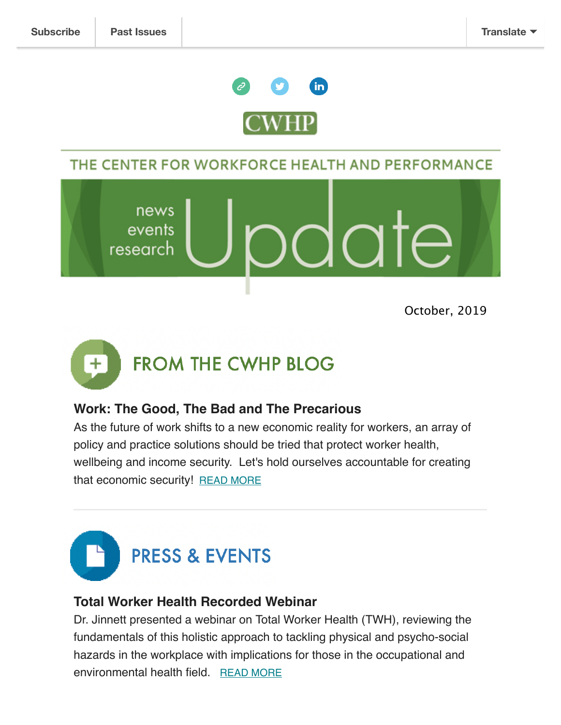

# THE CENTER FOR WORKFORCE HEALTH AND PERFORMANCE

news events INTA research

October, 2019



## **Work: The Good, The Bad and The Precarious**

As the future of work shifts to a new economic reality for workers, an array of policy and practice solutions should be tried that protect worker health, wellbeing and income security. Let's hold ourselves accountable for creating that economic security! [READ MORE](http://www.tcwhp.org/blogposts)



## **Total Worker Health Recorded Webinar**

Dr. Jinnett presented a webinar on Total Worker Health (TWH), reviewing the fundamentals of this holistic approach to tackling physical and psycho-social hazards in the workplace with implications for those in the occupational and environmental health field. [READ MORE](http://www.tcwhp.org/news)